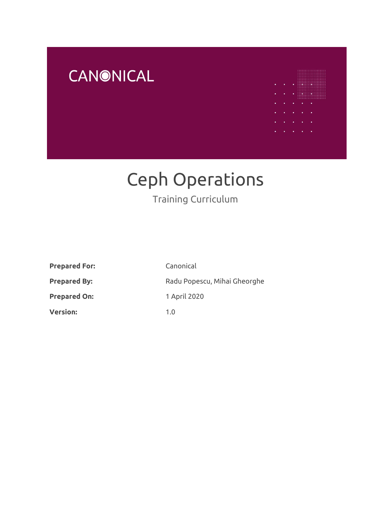



# Ceph Operations

## Training Curriculum

| <b>Prepared For:</b> | Canonical                    |
|----------------------|------------------------------|
| <b>Prepared By:</b>  | Radu Popescu, Mihai Gheorghe |
| <b>Prepared On:</b>  | 1 April 2020                 |
| <b>Version:</b>      | 1.0                          |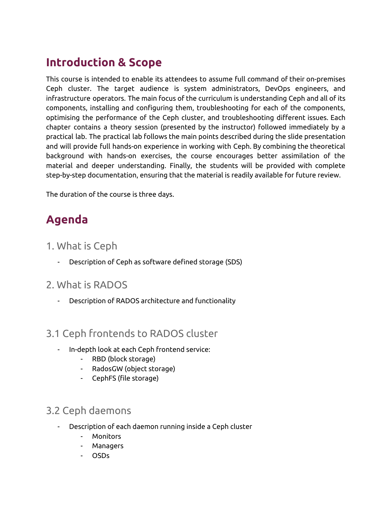# **Introduction & Scope**

This course is intended to enable its attendees to assume full command of their on-premises Ceph cluster. The target audience is system administrators, DevOps engineers, and infrastructure operators. The main focus of the curriculum is understanding Ceph and all of its components, installing and configuring them, troubleshooting for each of the components, optimising the performance of the Ceph cluster, and troubleshooting different issues. Each chapter contains a theory session (presented by the instructor) followed immediately by a practical lab. The practical lab follows the main points described during the slide presentation and will provide full hands-on experience in working with Ceph. By combining the theoretical background with hands-on exercises, the course encourages better assimilation of the material and deeper understanding. Finally, the students will be provided with complete step-by-step documentation, ensuring that the material is readily available for future review.

The duration of the course is three days.

# **Agenda**

#### 1. What is Ceph

- Description of Ceph as software defined storage (SDS)

#### 2. What is RADOS

- Description of RADOS architecture and functionality

#### 3.1 Ceph frontends to RADOS cluster

- In-depth look at each Ceph frontend service:
	- RBD (block storage)
	- RadosGW (object storage)
	- CephFS (file storage)

#### 3.2 Ceph daemons

- Description of each daemon running inside a Ceph cluster
	- Monitors
	- **Managers**
	- OSDs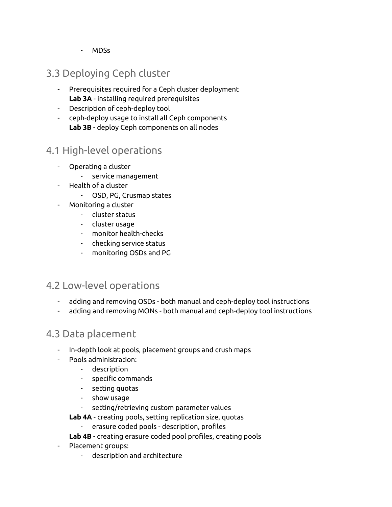- MDSs

## 3.3 Deploying Ceph cluster

- Prerequisites required for a Ceph cluster deployment **Lab 3A** - installing required prerequisites
- Description of ceph-deploy tool
- ceph-deploy usage to install all Ceph components **Lab 3B** - deploy Ceph components on all nodes

#### 4.1 High-level operations

- Operating a cluster
	- service management
- Health of a cluster
	- OSD, PG, Crusmap states
- Monitoring a cluster
	- cluster status
	- cluster usage
	- monitor health-checks
	- checking service status
	- monitoring OSDs and PG

#### 4.2 Low-level operations

- adding and removing OSDs both manual and ceph-deploy tool instructions
- adding and removing MONs both manual and ceph-deploy tool instructions

#### 4.3 Data placement

- In-depth look at pools, placement groups and crush maps
- Pools administration:
	- description
	- specific commands
	- setting quotas
	- show usage
	- setting/retrieving custom parameter values
	- **Lab 4A** creating pools, setting replication size, quotas
		- erasure coded pools description, profiles
	- **Lab 4B** creating erasure coded pool profiles, creating pools
- Placement groups:
	- description and architecture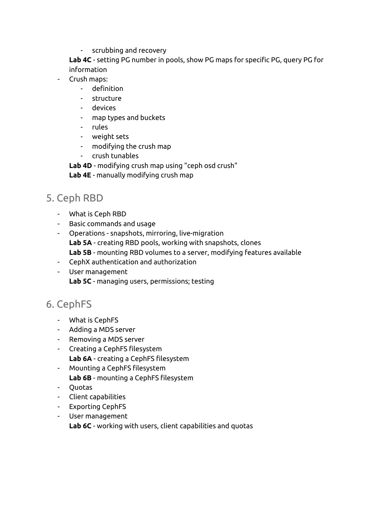- scrubbing and recovery

**Lab 4C** - setting PG number in pools, show PG maps for specific PG, query PG for information

- Crush maps:
	- definition
	- structure
	- devices
	- map types and buckets
	- rules
	- weight sets
	- modifying the crush map
	- crush tunables

**Lab 4D** - modifying crush map using "ceph osd crush"

**Lab 4E** - manually modifying crush map

#### 5. Ceph RBD

- What is Ceph RBD
- Basic commands and usage
- Operations snapshots, mirroring, live-migration **Lab 5A** - creating RBD pools, working with snapshots, clones **Lab 5B** - mounting RBD volumes to a server, modifying features available
- CephX authentication and authorization
- User management **Lab 5C** - managing users, permissions; testing

## 6. CephFS

- What is CephFS
- Adding a MDS server
- Removing a MDS server
- Creating a CephFS filesystem
	- **Lab 6A** creating a CephFS filesystem
- Mounting a CephFS filesystem **Lab 6B** - mounting a CephFS filesystem
- Quotas
- Client capabilities
- Exporting CephFS
- User management **Lab 6C** - working with users, client capabilities and quotas